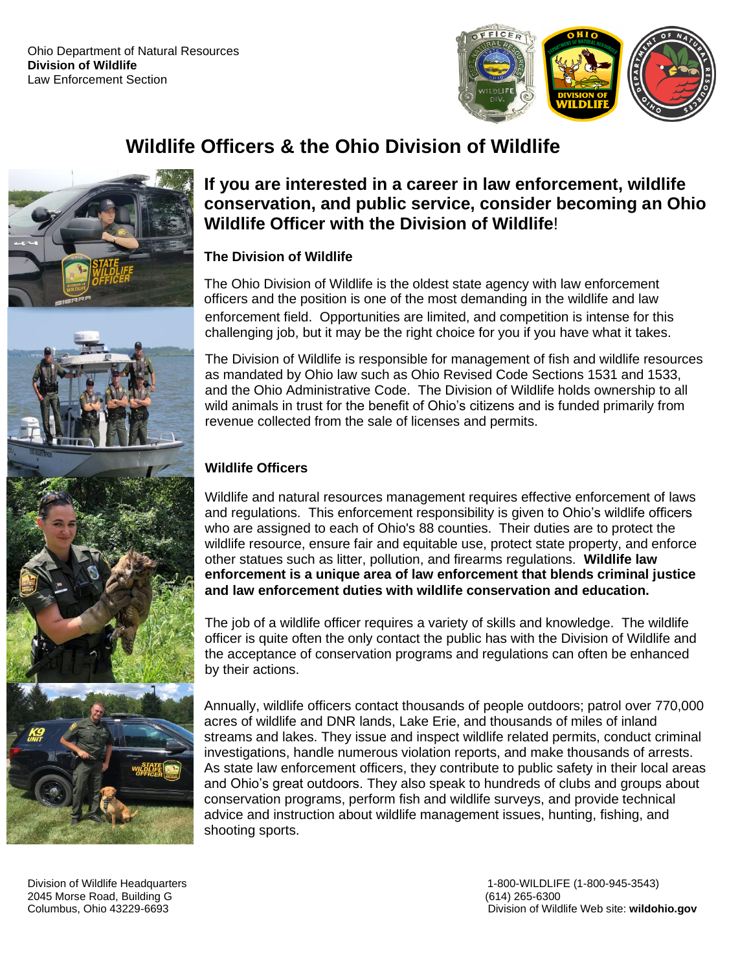

# **Wildlife Officers & the Ohio Division of Wildlife**





## **The Division of Wildlife**

The Ohio Division of Wildlife is the oldest state agency with law enforcement officers and the position is one of the most demanding in the wildlife and law enforcement field. Opportunities are limited, and competition is intense for this challenging job, but it may be the right choice for you if you have what it takes.

The Division of Wildlife is responsible for management of fish and wildlife resources as mandated by Ohio law such as Ohio Revised Code Sections 1531 and 1533, and the Ohio Administrative Code. The Division of Wildlife holds ownership to all wild animals in trust for the benefit of Ohio's citizens and is funded primarily from revenue collected from the sale of licenses and permits.

## **Wildlife Officers**

Wildlife and natural resources management requires effective enforcement of laws and regulations. This enforcement responsibility is given to Ohio's wildlife officers who are assigned to each of Ohio's 88 counties. Their duties are to protect the wildlife resource, ensure fair and equitable use, protect state property, and enforce other statues such as litter, pollution, and firearms regulations. **Wildlife law enforcement is a unique area of law enforcement that blends criminal justice and law enforcement duties with wildlife conservation and education.**

The job of a wildlife officer requires a variety of skills and knowledge. The wildlife officer is quite often the only contact the public has with the Division of Wildlife and the acceptance of conservation programs and regulations can often be enhanced by their actions.

Annually, wildlife officers contact thousands of people outdoors; patrol over 770,000 acres of wildlife and DNR lands, Lake Erie, and thousands of miles of inland streams and lakes. They issue and inspect wildlife related permits, conduct criminal investigations, handle numerous violation reports, and make thousands of arrests. As state law enforcement officers, they contribute to public safety in their local areas and Ohio's great outdoors. They also speak to hundreds of clubs and groups about conservation programs, perform fish and wildlife surveys, and provide technical advice and instruction about wildlife management issues, hunting, fishing, and shooting sports.

2045 Morse Road, Building G (614) 265-6300

Division of Wildlife Headquarters 1-800-WILDLIFE (1-800-945-3543) Columbus, Ohio 43229-6693 Division of Wildlife Web site: **wildohio.gov**